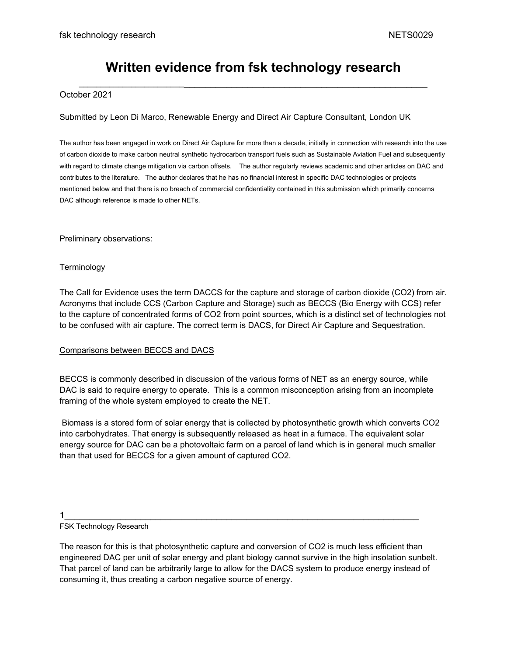# **Written evidence from fsk technology research** \_\_\_\_\_\_\_\_\_\_\_\_\_\_\_\_\_\_\_\_\_\_\_\_\_\_\_\_\_\_\_\_\_\_\_\_\_\_\_\_\_\_\_\_\_\_\_\_\_\_\_\_\_\_\_\_\_\_\_\_\_\_\_\_\_\_\_\_\_\_

# October 2021

# Submitted by Leon Di Marco, Renewable Energy and Direct Air Capture Consultant, London UK

The author has been engaged in work on Direct Air Capture for more than a decade, initially in connection with research into the use of carbon dioxide to make carbon neutral synthetic hydrocarbon transport fuels such as Sustainable Aviation Fuel and subsequently with regard to climate change mitigation via carbon offsets. The author regularly reviews academic and other articles on DAC and contributes to the literature. The author declares that he has no financial interest in specific DAC technologies or projects mentioned below and that there is no breach of commercial confidentiality contained in this submission which primarily concerns DAC although reference is made to other NETs.

Preliminary observations:

# **Terminology**

The Call for Evidence uses the term DACCS for the capture and storage of carbon dioxide (CO2) from air. Acronyms that include CCS (Carbon Capture and Storage) such as BECCS (Bio Energy with CCS) refer to the capture of concentrated forms of CO2 from point sources, which is a distinct set of technologies not to be confused with air capture. The correct term is DACS, for Direct Air Capture and Sequestration.

# Comparisons between BECCS and DACS

BECCS is commonly described in discussion of the various forms of NET as an energy source, while DAC is said to require energy to operate. This is a common misconception arising from an incomplete framing of the whole system employed to create the NET.

Biomass is a stored form of solar energy that is collected by photosynthetic growth which converts CO2 into carbohydrates. That energy is subsequently released as heat in a furnace. The equivalent solar energy source for DAC can be a photovoltaic farm on a parcel of land which is in general much smaller than that used for BECCS for a given amount of captured CO2.

### 1\_\_\_\_\_\_\_\_\_\_\_\_\_\_\_\_\_\_\_\_\_\_\_\_\_\_\_\_\_\_\_\_\_\_\_\_\_\_\_\_\_\_\_\_\_\_\_\_\_\_\_\_\_\_\_\_\_\_\_\_\_\_\_\_\_\_\_\_\_\_

### FSK Technology Research

The reason for this is that photosynthetic capture and conversion of CO2 is much less efficient than engineered DAC per unit of solar energy and plant biology cannot survive in the high insolation sunbelt. That parcel of land can be arbitrarily large to allow for the DACS system to produce energy instead of consuming it, thus creating a carbon negative source of energy.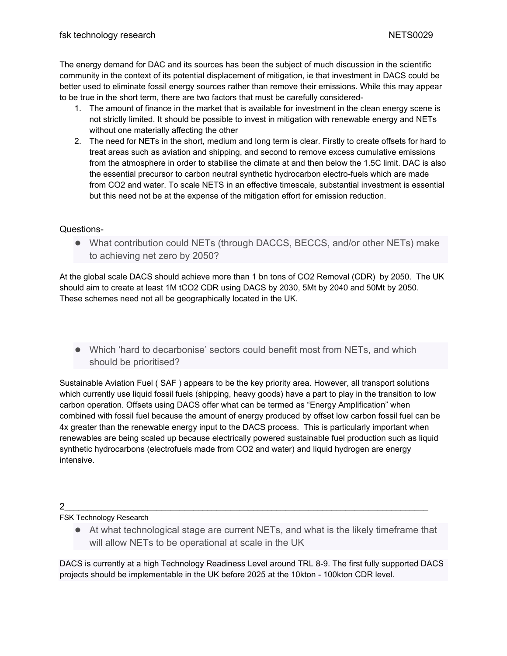The energy demand for DAC and its sources has been the subject of much discussion in the scientific community in the context of its potential displacement of mitigation, ie that investment in DACS could be better used to eliminate fossil energy sources rather than remove their emissions. While this may appear to be true in the short term, there are two factors that must be carefully considered-

- 1. The amount of finance in the market that is available for investment in the clean energy scene is not strictly limited. It should be possible to invest in mitigation with renewable energy and NETs without one materially affecting the other
- 2. The need for NETs in the short, medium and long term is clear. Firstly to create offsets for hard to treat areas such as aviation and shipping, and second to remove excess cumulative emissions from the atmosphere in order to stabilise the climate at and then below the 1.5C limit. DAC is also the essential precursor to carbon neutral synthetic hydrocarbon electro-fuels which are made from CO2 and water. To scale NETS in an effective timescale, substantial investment is essential but this need not be at the expense of the mitigation effort for emission reduction.

# Questions-

● What contribution could NETs (through DACCS, BECCS, and/or other NETs) make to achieving net zero by 2050?

At the global scale DACS should achieve more than 1 bn tons of CO2 Removal (CDR) by 2050. The UK should aim to create at least 1M tCO2 CDR using DACS by 2030, 5Mt by 2040 and 50Mt by 2050. These schemes need not all be geographically located in the UK.

● Which 'hard to decarbonise' sectors could benefit most from NETs, and which should be prioritised?

Sustainable Aviation Fuel ( SAF ) appears to be the key priority area. However, all transport solutions which currently use liquid fossil fuels (shipping, heavy goods) have a part to play in the transition to low carbon operation. Offsets using DACS offer what can be termed as "Energy Amplification" when combined with fossil fuel because the amount of energy produced by offset low carbon fossil fuel can be 4x greater than the renewable energy input to the DACS process. This is particularly important when renewables are being scaled up because electrically powered sustainable fuel production such as liquid synthetic hydrocarbons (electrofuels made from CO2 and water) and liquid hydrogen are energy intensive.

# 2\_\_\_\_\_\_\_\_\_\_\_\_\_\_\_\_\_\_\_\_\_\_\_\_\_\_\_\_\_\_\_\_\_\_\_\_\_\_\_\_\_\_\_\_\_\_\_\_\_\_\_\_\_\_\_\_\_\_\_\_\_\_\_\_\_\_\_\_\_\_\_\_\_\_\_\_\_\_\_

# FSK Technology Research

● At what technological stage are current NETs, and what is the likely timeframe that will allow NETs to be operational at scale in the UK

DACS is currently at a high Technology Readiness Level around TRL 8-9. The first fully supported DACS projects should be implementable in the UK before 2025 at the 10kton - 100kton CDR level.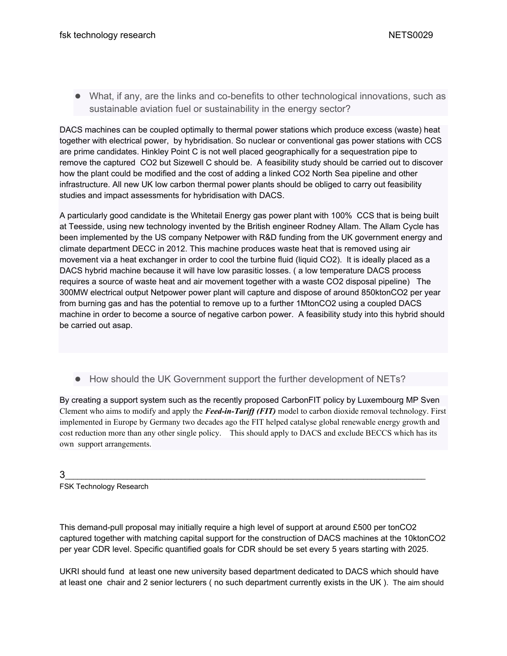● What, if any, are the links and co-benefits to other technological innovations, such as sustainable aviation fuel or sustainability in the energy sector?

DACS machines can be coupled optimally to thermal power stations which produce excess (waste) heat together with electrical power, by hybridisation. So nuclear or conventional gas power stations with CCS are prime candidates. Hinkley Point C is not well placed geographically for a sequestration pipe to remove the captured CO2 but Sizewell C should be. A feasibility study should be carried out to discover how the plant could be modified and the cost of adding a linked CO2 North Sea pipeline and other infrastructure. All new UK low carbon thermal power plants should be obliged to carry out feasibility studies and impact assessments for hybridisation with DACS.

A particularly good candidate is the Whitetail Energy gas power plant with 100% CCS that is being built at Teesside, using new technology invented by the British engineer Rodney Allam. The Allam Cycle has been implemented by the US company Netpower with R&D funding from the UK government energy and climate department DECC in 2012. This machine produces waste heat that is removed using air movement via a heat exchanger in order to cool the turbine fluid (liquid CO2). It is ideally placed as a DACS hybrid machine because it will have low parasitic losses. ( a low temperature DACS process requires a source of waste heat and air movement together with a waste CO2 disposal pipeline) The 300MW electrical output Netpower power plant will capture and dispose of around 850ktonCO2 per year from burning gas and has the potential to remove up to a further 1MtonCO2 using a coupled DACS machine in order to become a source of negative carbon power. A feasibility study into this hybrid should be carried out asap.

● How should the UK Government support the further development of NETs?

By creating a support system such as the recently proposed CarbonFIT policy by Luxembourg MP Sven Clement who aims to modify and apply the *Feed-in-Tariff (FIT)* model to carbon dioxide removal technology. First implemented in Europe by Germany two decades ago the FIT helped catalyse global renewable energy growth and cost reduction more than any other single policy. This should apply to DACS and exclude BECCS which has its own support arrangements.

3\_\_\_\_\_\_\_\_\_\_\_\_\_\_\_\_\_\_\_\_\_\_\_\_\_\_\_\_\_\_\_\_\_\_\_\_\_\_\_\_\_\_\_\_\_\_\_\_\_\_\_\_\_\_\_\_\_\_\_\_\_\_\_\_\_\_\_\_\_\_\_\_\_\_\_\_\_\_\_\_\_\_\_\_\_\_\_

FSK Technology Research

This demand-pull proposal may initially require a high level of support at around £500 per tonCO2 captured together with matching capital support for the construction of DACS machines at the 10ktonCO2 per year CDR level. Specific quantified goals for CDR should be set every 5 years starting with 2025.

UKRI should fund at least one new university based department dedicated to DACS which should have at least one chair and 2 senior lecturers ( no such department currently exists in the UK ). The aim should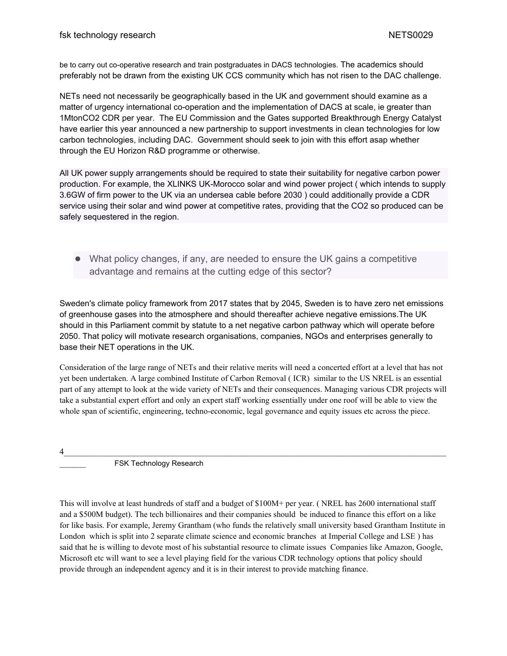be to carry out co-operative research and train postgraduates in DACS technologies. The academics should preferably not be drawn from the existing UK CCS community which has not risen to the DAC challenge.

NETs need not necessarily be geographically based in the UK and government should examine as a matter of urgency international co-operation and the implementation of DACS at scale, ie greater than 1MtonCO2 CDR per year. The EU Commission and the Gates supported Breakthrough Energy Catalyst have earlier this year announced a new partnership to support investments in clean technologies for low carbon technologies, including DAC. Government should seek to join with this effort asap whether through the EU Horizon R&D programme or otherwise.

All UK power supply arrangements should be required to state their suitability for negative carbon power production. For example, the XLINKS UK-Morocco solar and wind power project ( which intends to supply 3.6GW of firm power to the UK via an undersea cable before 2030 ) could additionally provide a CDR service using their solar and wind power at competitive rates, providing that the CO2 so produced can be safely sequestered in the region.

● What policy changes, if any, are needed to ensure the UK gains a competitive advantage and remains at the cutting edge of this sector?

Sweden's climate policy framework from 2017 states that by 2045, Sweden is to have zero net emissions of greenhouse gases into the atmosphere and should thereafter achieve negative emissions.The UK should in this Parliament commit by statute to a net negative carbon pathway which will operate before 2050. That policy will motivate research organisations, companies, NGOs and enterprises generally to base their NET operations in the UK.

Consideration of the large range of NETs and their relative merits will need a concerted effort at a level that has not yet been undertaken. A large combined Institute of Carbon Removal ( ICR) similar to the US NREL is an essential part of any attempt to look at the wide variety of NETs and their consequences. Managing various CDR projects will take a substantial expert effort and only an expert staff working essentially under one roof will be able to view the whole span of scientific, engineering, techno-economic, legal governance and equity issues etc across the piece.

 $4$ 

FSK Technology Research

This will involve at least hundreds of staff and a budget of \$100M+ per year. ( NREL has 2600 international staff and a \$500M budget). The tech billionaires and their companies should be induced to finance this effort on a like for like basis. For example, Jeremy Grantham (who funds the relatively small university based Grantham Institute in London which is split into 2 separate climate science and economic branches at Imperial College and LSE ) has said that he is willing to devote most of his substantial resource to climate issues Companies like Amazon, Google, Microsoft etc will want to see a level playing field for the various CDR technology options that policy should provide through an independent agency and it is in their interest to provide matching finance.